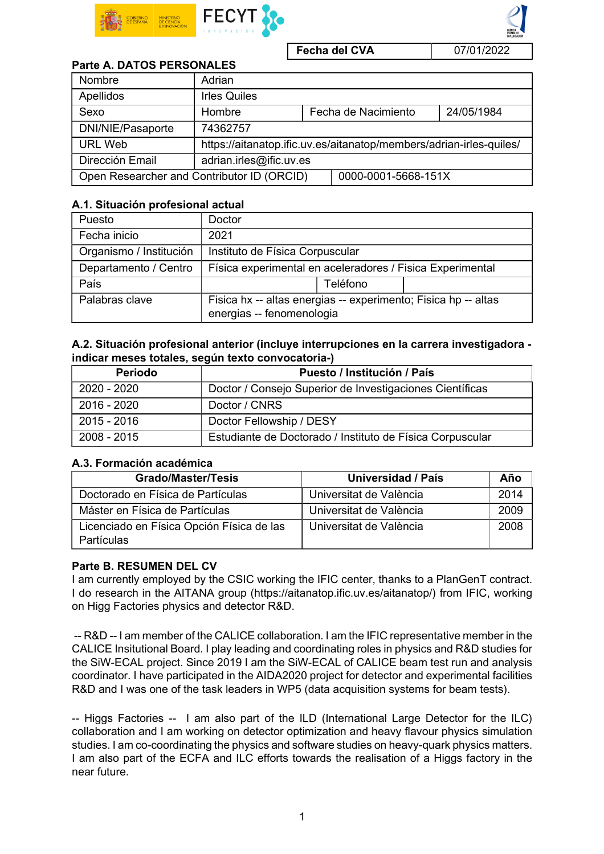

Fecha del CVA 07/01/2022

# Parte A. DATOS PERSONALES

| Nombre                                     | Adrian                                                              |                     |                     |            |  |
|--------------------------------------------|---------------------------------------------------------------------|---------------------|---------------------|------------|--|
| Apellidos                                  | <b>Irles Quiles</b>                                                 |                     |                     |            |  |
| Sexo                                       | Hombre                                                              |                     | Fecha de Nacimiento | 24/05/1984 |  |
| DNI/NIE/Pasaporte                          | 74362757                                                            |                     |                     |            |  |
| <b>URL Web</b>                             | https://aitanatop.ific.uv.es/aitanatop/members/adrian-irles-quiles/ |                     |                     |            |  |
| Dirección Email                            | adrian.irles@ific.uv.es                                             |                     |                     |            |  |
| Open Researcher and Contributor ID (ORCID) |                                                                     | 0000-0001-5668-151X |                     |            |  |

### A.1. Situación profesional actual

| Puesto                  | Doctor                                                                                      |  |  |  |
|-------------------------|---------------------------------------------------------------------------------------------|--|--|--|
| Fecha inicio            | 2021                                                                                        |  |  |  |
| Organismo / Institución | Instituto de Física Corpuscular                                                             |  |  |  |
| Departamento / Centro   | Física experimental en aceleradores / Fisica Experimental                                   |  |  |  |
| País                    | Teléfono                                                                                    |  |  |  |
| Palabras clave          | Fisica hx -- altas energias -- experimento; Fisica hp -- altas<br>energias -- fenomenologia |  |  |  |

### A.2. Situación profesional anterior (incluye interrupciones en la carrera investigadora indicar meses totales, según texto convocatoria-)

| Periodo       | Puesto / Institución / País                               |  |  |
|---------------|-----------------------------------------------------------|--|--|
| 2020 - 2020   | Doctor / Consejo Superior de Investigaciones Científicas  |  |  |
| 2016 - 2020   | Doctor / CNRS                                             |  |  |
| $2015 - 2016$ | Doctor Fellowship / DESY                                  |  |  |
| 2008 - 2015   | Estudiante de Doctorado / Instituto de Física Corpuscular |  |  |

# A.3. Formación académica

| <b>Grado/Master/Tesis</b>                                      | Universidad / País      | Año  |
|----------------------------------------------------------------|-------------------------|------|
| Doctorado en Física de Partículas                              | Universitat de València | 2014 |
| Máster en Física de Partículas                                 | Universitat de València | 2009 |
| Licenciado en Física Opción Física de las<br><b>Partículas</b> | Universitat de València | 2008 |

## Parte B. RESUMEN DEL CV

I am currently employed by the CSIC working the IFIC center, thanks to a PlanGenT contract. I do research in the AITANA group (https://aitanatop.ific.uv.es/aitanatop/) from IFIC, working on Higg Factories physics and detector R&D.

 -- R&D -- I am member of the CALICE collaboration. I am the IFIC representative member in the CALICE Insitutional Board. I play leading and coordinating roles in physics and R&D studies for the SiW-ECAL project. Since 2019 I am the SiW-ECAL of CALICE beam test run and analysis coordinator. I have participated in the AIDA2020 project for detector and experimental facilities R&D and I was one of the task leaders in WP5 (data acquisition systems for beam tests).

-- Higgs Factories -- I am also part of the ILD (International Large Detector for the ILC) collaboration and I am working on detector optimization and heavy flavour physics simulation studies. I am co-coordinating the physics and software studies on heavy-quark physics matters. I am also part of the ECFA and ILC efforts towards the realisation of a Higgs factory in the near future.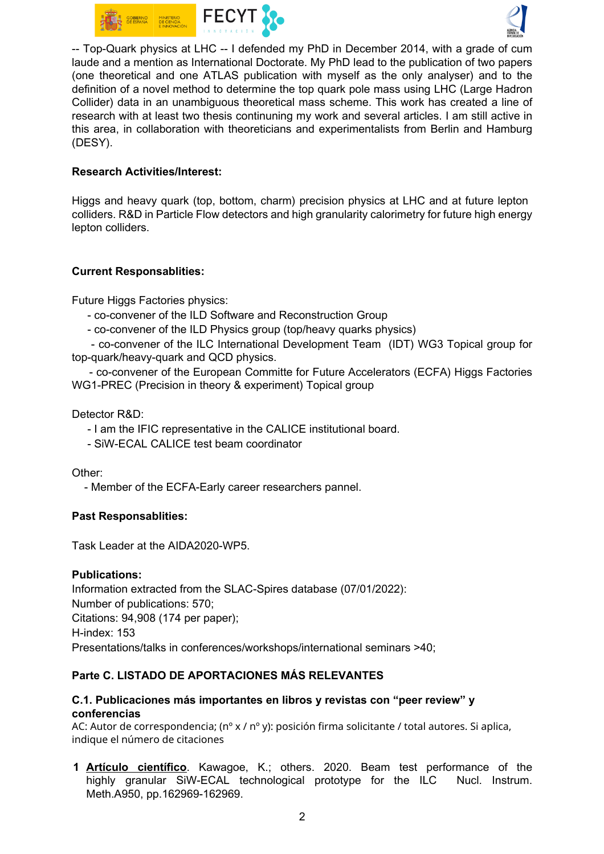



-- Top-Quark physics at LHC -- I defended my PhD in December 2014, with a grade of cum laude and a mention as International Doctorate. My PhD lead to the publication of two papers (one theoretical and one ATLAS publication with myself as the only analyser) and to the definition of a novel method to determine the top quark pole mass using LHC (Large Hadron Collider) data in an unambiguous theoretical mass scheme. This work has created a line of research with at least two thesis continuning my work and several articles. I am still active in this area, in collaboration with theoreticians and experimentalists from Berlin and Hamburg (DESY).

### Research Activities/Interest:

Higgs and heavy quark (top, bottom, charm) precision physics at LHC and at future lepton colliders. R&D in Particle Flow detectors and high granularity calorimetry for future high energy lepton colliders.

### Current Responsablities:

Future Higgs Factories physics:

- co-convener of the ILD Software and Reconstruction Group
- co-convener of the ILD Physics group (top/heavy quarks physics)

 - co-convener of the ILC International Development Team (IDT) WG3 Topical group for top-quark/heavy-quark and QCD physics.

 - co-convener of the European Committe for Future Accelerators (ECFA) Higgs Factories WG1-PREC (Precision in theory & experiment) Topical group

Detector R&D:

- I am the IFIC representative in the CALICE institutional board.

- SiW-ECAL CALICE test beam coordinator

Other:

- Member of the ECFA-Early career researchers pannel.

#### Past Responsablities:

Task Leader at the AIDA2020-WP5.

## Publications:

Information extracted from the SLAC-Spires database (07/01/2022): Number of publications: 570; Citations: 94,908 (174 per paper); H-index: 153 Presentations/talks in conferences/workshops/international seminars >40;

## Parte C. LISTADO DE APORTACIONES MÁS RELEVANTES

### C.1. Publicaciones más importantes en libros y revistas con "peer review" y conferencias

AC: Autor de correspondencia; (nº x / nº y): posición firma solicitante / total autores. Si aplica, indique el número de citaciones

1 Artículo científico. Kawagoe, K.; others. 2020. Beam test performance of the highly granular SiW-ECAL technological prototype for the ILC Nucl. Instrum. Meth.A950, pp.162969-162969.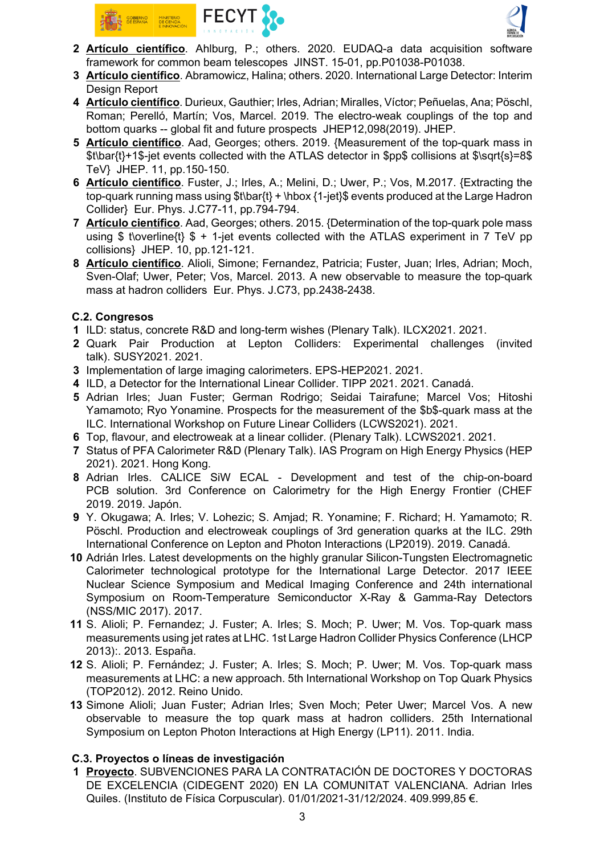



- 2 Artículo científico. Ahlburg, P.; others. 2020. EUDAQ-a data acquisition software framework for common beam telescopes JINST. 15-01, pp.P01038-P01038.
- 3 Artículo científico. Abramowicz, Halina; others. 2020. International Large Detector: Interim Design Report
- 4 Artículo científico. Durieux, Gauthier; Irles, Adrian; Miralles, Víctor; Peñuelas, Ana; Pöschl, Roman; Perelló, Martín; Vos, Marcel. 2019. The electro-weak couplings of the top and bottom quarks -- global fit and future prospects JHEP12,098(2019). JHEP.
- 5 Artículo científico. Aad, Georges; others. 2019. {Measurement of the top-quark mass in \$t\bar{t}+1\$-jet events collected with the ATLAS detector in \$pp\$ collisions at \$\sqrt{s}=8\$ TeV} JHEP. 11, pp.150-150.
- 6 Artículo científico. Fuster, J.; Irles, A.; Melini, D.; Uwer, P.; Vos, M.2017. {Extracting the top-quark running mass using \$t\bar{t} + \hbox {1-jet}\$ events produced at the Large Hadron Collider} Eur. Phys. J.C77-11, pp.794-794.
- 7 Artículo científico. Aad, Georges; others. 2015. {Determination of the top-quark pole mass using \$ t\overline{t}  $$ + 1$ -jet events collected with the ATLAS experiment in 7 TeV pp collisions} JHEP. 10, pp.121-121.
- 8 Artículo científico. Alioli, Simone; Fernandez, Patricia; Fuster, Juan; Irles, Adrian; Moch, Sven-Olaf; Uwer, Peter; Vos, Marcel. 2013. A new observable to measure the top-quark mass at hadron colliders Eur. Phys. J.C73, pp.2438-2438.

## C.2. Congresos

- 1 ILD: status, concrete R&D and long-term wishes (Plenary Talk). ILCX2021. 2021.
- 2 Quark Pair Production at Lepton Colliders: Experimental challenges (invited talk). SUSY2021. 2021.
- 3 Implementation of large imaging calorimeters. EPS-HEP2021. 2021.
- 4 ILD, a Detector for the International Linear Collider. TIPP 2021. 2021. Canadá.
- 5 Adrian Irles; Juan Fuster; German Rodrigo; Seidai Tairafune; Marcel Vos; Hitoshi Yamamoto; Ryo Yonamine. Prospects for the measurement of the \$b\$-quark mass at the ILC. International Workshop on Future Linear Colliders (LCWS2021). 2021.
- 6 Top, flavour, and electroweak at a linear collider. (Plenary Talk). LCWS2021. 2021.
- 7 Status of PFA Calorimeter R&D (Plenary Talk). IAS Program on High Energy Physics (HEP 2021). 2021. Hong Kong.
- 8 Adrian Irles. CALICE SiW ECAL Development and test of the chip-on-board PCB solution. 3rd Conference on Calorimetry for the High Energy Frontier (CHEF 2019. 2019. Japón.
- 9 Y. Okugawa; A. Irles; V. Lohezic; S. Amjad; R. Yonamine; F. Richard; H. Yamamoto; R. Pöschl. Production and electroweak couplings of 3rd generation quarks at the ILC. 29th International Conference on Lepton and Photon Interactions (LP2019). 2019. Canadá.
- 10 Adrián Irles. Latest developments on the highly granular Silicon-Tungsten Electromagnetic Calorimeter technological prototype for the International Large Detector. 2017 IEEE Nuclear Science Symposium and Medical Imaging Conference and 24th international Symposium on Room-Temperature Semiconductor X-Ray & Gamma-Ray Detectors (NSS/MIC 2017). 2017.
- 11 S. Alioli; P. Fernandez; J. Fuster; A. Irles; S. Moch; P. Uwer; M. Vos. Top-quark mass measurements using jet rates at LHC. 1st Large Hadron Collider Physics Conference (LHCP 2013):. 2013. España.
- 12 S. Alioli; P. Fernández; J. Fuster; A. Irles; S. Moch; P. Uwer; M. Vos. Top-quark mass measurements at LHC: a new approach. 5th International Workshop on Top Quark Physics (TOP2012). 2012. Reino Unido.
- 13 Simone Alioli; Juan Fuster; Adrian Irles; Sven Moch; Peter Uwer; Marcel Vos. A new observable to measure the top quark mass at hadron colliders. 25th International Symposium on Lepton Photon Interactions at High Energy (LP11). 2011. India.

## C.3. Proyectos o líneas de investigación

1 Proyecto. SUBVENCIONES PARA LA CONTRATACIÓN DE DOCTORES Y DOCTORAS DE EXCELENCIA (CIDEGENT 2020) EN LA COMUNITAT VALENCIANA. Adrian Irles Quiles. (Instituto de Física Corpuscular). 01/01/2021-31/12/2024. 409.999,85 €.